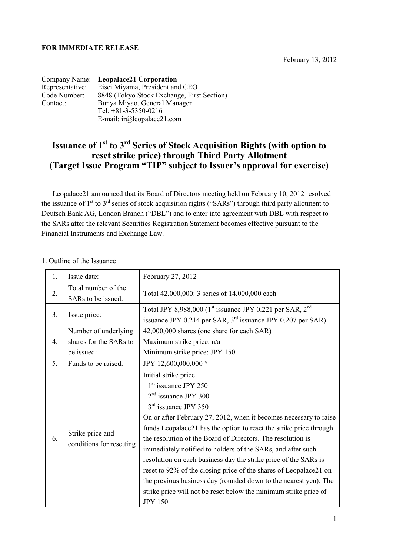## **FOR IMMEDIATE RELEASE**

|                 | Company Name: Leopalace21 Corporation      |
|-----------------|--------------------------------------------|
| Representative: | Eisei Miyama, President and CEO            |
| Code Number:    | 8848 (Tokyo Stock Exchange, First Section) |
| Contact:        | Bunya Miyao, General Manager               |
|                 | Tel: $+81-3-5350-0216$                     |
|                 | E-mail: $ir(\omega)$ leopalace21.com       |

# **Issuance of 1st to 3rd Series of Stock Acquisition Rights (with option to reset strike price) through Third Party Allotment (Target Issue Program "TIP" subject to Issuer's approval for exercise)**

Leopalace21 announced that its Board of Directors meeting held on February 10, 2012 resolved the issuance of  $1<sup>st</sup>$  to  $3<sup>rd</sup>$  series of stock acquisition rights ("SARs") through third party allotment to Deutsch Bank AG, London Branch ("DBL") and to enter into agreement with DBL with respect to the SARs after the relevant Securities Registration Statement becomes effective pursuant to the Financial Instruments and Exchange Law.

| 1. | Issue date:                                  | February 27, 2012                                                                                                                                                                                                                                                                                                                                                                                                                                                                                                                                                                                                                                                              |  |  |
|----|----------------------------------------------|--------------------------------------------------------------------------------------------------------------------------------------------------------------------------------------------------------------------------------------------------------------------------------------------------------------------------------------------------------------------------------------------------------------------------------------------------------------------------------------------------------------------------------------------------------------------------------------------------------------------------------------------------------------------------------|--|--|
| 2. | Total number of the<br>SARs to be issued:    | Total 42,000,000: 3 series of 14,000,000 each                                                                                                                                                                                                                                                                                                                                                                                                                                                                                                                                                                                                                                  |  |  |
| 3. | Issue price:                                 | Total JPY 8,988,000 $(1st$ issuance JPY 0.221 per SAR, $2nd$<br>issuance JPY 0.214 per SAR, $3rd$ issuance JPY 0.207 per SAR)                                                                                                                                                                                                                                                                                                                                                                                                                                                                                                                                                  |  |  |
| 4. | Number of underlying                         | 42,000,000 shares (one share for each SAR)                                                                                                                                                                                                                                                                                                                                                                                                                                                                                                                                                                                                                                     |  |  |
|    | shares for the SARs to                       | Maximum strike price: n/a                                                                                                                                                                                                                                                                                                                                                                                                                                                                                                                                                                                                                                                      |  |  |
|    | be issued:                                   | Minimum strike price: JPY 150                                                                                                                                                                                                                                                                                                                                                                                                                                                                                                                                                                                                                                                  |  |  |
| 5. | Funds to be raised:                          | JPY 12,600,000,000 *                                                                                                                                                                                                                                                                                                                                                                                                                                                                                                                                                                                                                                                           |  |  |
| 6. | Strike price and<br>conditions for resetting | Initial strike price<br>$1st$ issuance JPY 250<br>$2nd$ issuance JPY 300<br>$3rd$ issuance JPY 350<br>On or after February 27, 2012, when it becomes necessary to raise<br>funds Leopalace21 has the option to reset the strike price through<br>the resolution of the Board of Directors. The resolution is<br>immediately notified to holders of the SARs, and after such<br>resolution on each business day the strike price of the SARs is<br>reset to 92% of the closing price of the shares of Leopalace21 on<br>the previous business day (rounded down to the nearest yen). The<br>strike price will not be reset below the minimum strike price of<br><b>JPY 150.</b> |  |  |

#### 1. Outline of the Issuance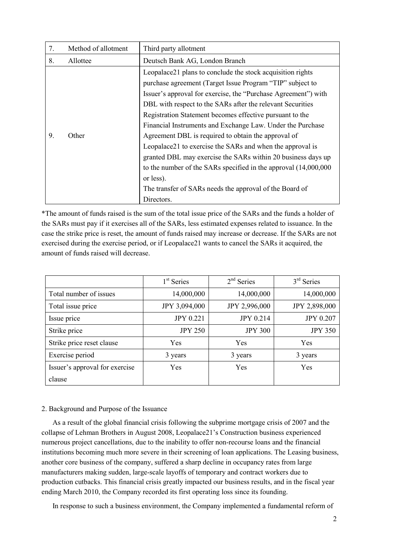| 7. | Method of allotment | Third party allotment                                                                                                                                                                                                                                                                                                                                                                                                                                                                                                                                                                                                                                                                                             |  |
|----|---------------------|-------------------------------------------------------------------------------------------------------------------------------------------------------------------------------------------------------------------------------------------------------------------------------------------------------------------------------------------------------------------------------------------------------------------------------------------------------------------------------------------------------------------------------------------------------------------------------------------------------------------------------------------------------------------------------------------------------------------|--|
| 8. | Allottee            | Deutsch Bank AG, London Branch                                                                                                                                                                                                                                                                                                                                                                                                                                                                                                                                                                                                                                                                                    |  |
| 9. | Other               | Leopalace21 plans to conclude the stock acquisition rights<br>purchase agreement (Target Issue Program "TIP" subject to<br>Issuer's approval for exercise, the "Purchase Agreement") with<br>DBL with respect to the SARs after the relevant Securities<br>Registration Statement becomes effective pursuant to the<br>Financial Instruments and Exchange Law. Under the Purchase<br>Agreement DBL is required to obtain the approval of<br>Leopalace21 to exercise the SARs and when the approval is<br>granted DBL may exercise the SARs within 20 business days up<br>to the number of the SARs specified in the approval (14,000,000)<br>or less).<br>The transfer of SARs needs the approval of the Board of |  |
|    |                     | Directors.                                                                                                                                                                                                                                                                                                                                                                                                                                                                                                                                                                                                                                                                                                        |  |

\*The amount of funds raised is the sum of the total issue price of the SARs and the funds a holder of the SARs must pay if it exercises all of the SARs, less estimated expenses related to issuance. In the case the strike price is reset, the amount of funds raised may increase or decrease. If the SARs are not exercised during the exercise period, or if Leopalace21 wants to cancel the SARs it acquired, the amount of funds raised will decrease.

|                                | $1st$ Series     | $2nd$ Series     | $3rd$ Series     |
|--------------------------------|------------------|------------------|------------------|
| Total number of issues         | 14,000,000       | 14,000,000       | 14,000,000       |
| Total issue price              | JPY 3,094,000    | JPY 2,996,000    | JPY 2,898,000    |
| Issue price                    | <b>JPY 0.221</b> | <b>JPY 0.214</b> | <b>JPY 0.207</b> |
| Strike price                   | <b>JPY 250</b>   | <b>JPY 300</b>   | <b>JPY 350</b>   |
| Strike price reset clause      | Yes              | Yes              | <b>Yes</b>       |
| Exercise period                | 3 years          | 3 years          | 3 years          |
| Issuer's approval for exercise | Yes              | Yes              | Yes              |
| clause                         |                  |                  |                  |

## 2. Background and Purpose of the Issuance

As a result of the global financial crisis following the subprime mortgage crisis of 2007 and the collapse of Lehman Brothers in August 2008, Leopalace21's Construction business experienced numerous project cancellations, due to the inability to offer non-recourse loans and the financial institutions becoming much more severe in their screening of loan applications. The Leasing business, another core business of the company, suffered a sharp decline in occupancy rates from large manufacturers making sudden, large-scale layoffs of temporary and contract workers due to production cutbacks. This financial crisis greatly impacted our business results, and in the fiscal year ending March 2010, the Company recorded its first operating loss since its founding.

In response to such a business environment, the Company implemented a fundamental reform of